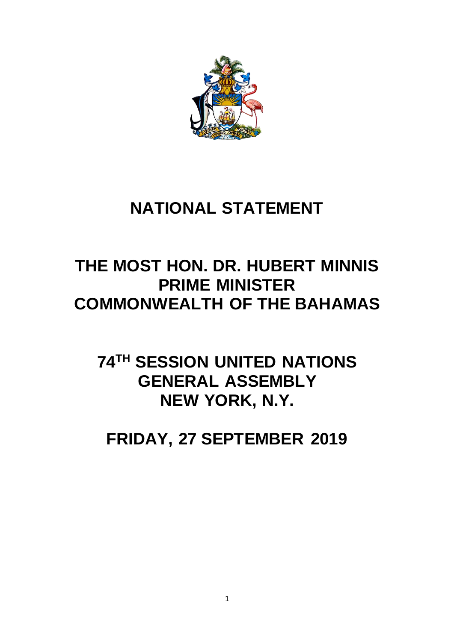

## **NATIONAL STATEMENT**

## **THE MOST HON. DR. HUBERT MINNIS PRIME MINISTER COMMONWEALTH OF THE BAHAMAS**

## **74TH SESSION UNITED NATIONS GENERAL ASSEMBLY NEW YORK, N.Y.**

**FRIDAY, 27 SEPTEMBER 2019**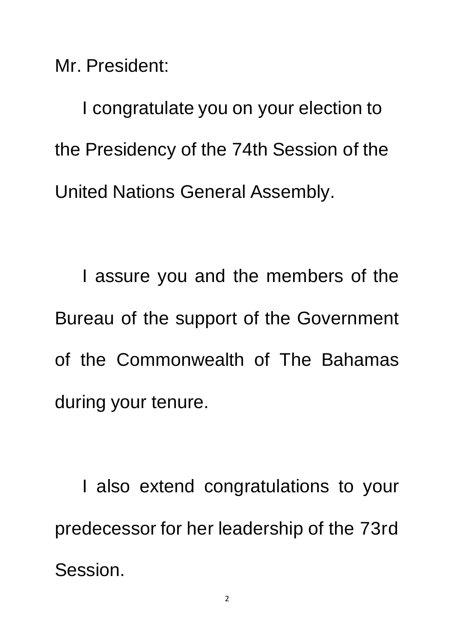Mr. President:

I congratulate you on your election to the Presidency of the 74th Session of the United Nations General Assembly.

I assure you and the members of the Bureau of the support of the Government of the Commonwealth of The Bahamas during your tenure.

I also extend congratulations to your predecessor for her leadership of the 73rd Session.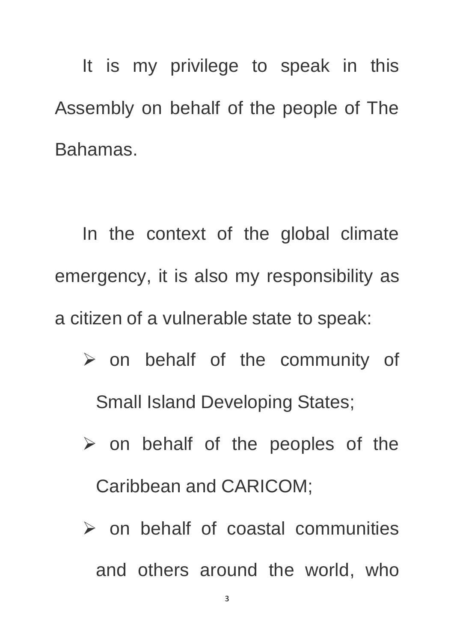It is my privilege to speak in this Assembly on behalf of the people of The Bahamas.

In the context of the global climate emergency, it is also my responsibility as a citizen of a vulnerable state to speak:

- $\triangleright$  on behalf of the community of Small Island Developing States;
- $\triangleright$  on behalf of the peoples of the Caribbean and CARICOM;
- $\triangleright$  on behalf of coastal communities and others around the world, who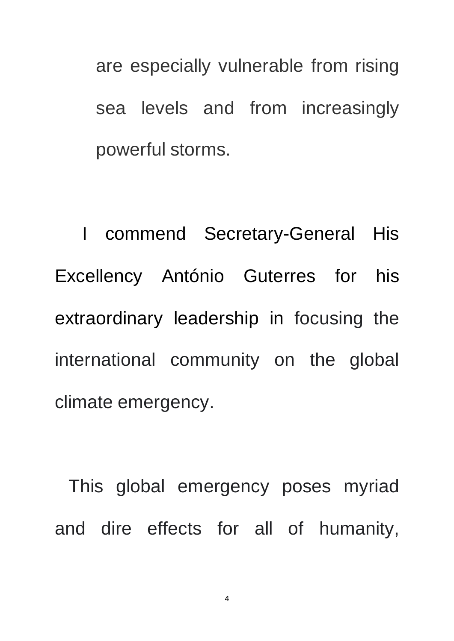are especially vulnerable from rising sea levels and from increasingly powerful storms.

I commend Secretary-General His Excellency António Guterres for his extraordinary leadership in focusing the international community on the global climate emergency.

This global emergency poses myriad and dire effects for all of humanity,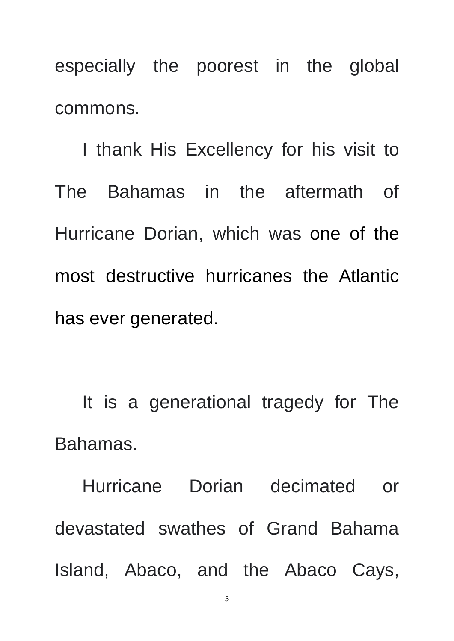especially the poorest in the global commons.

I thank His Excellency for his visit to The Bahamas in the aftermath of Hurricane Dorian, which was one of the most destructive hurricanes the Atlantic has ever generated.

It is a generational tragedy for The Bahamas.

Hurricane Dorian decimated or devastated swathes of Grand Bahama Island, Abaco, and the Abaco Cays,

5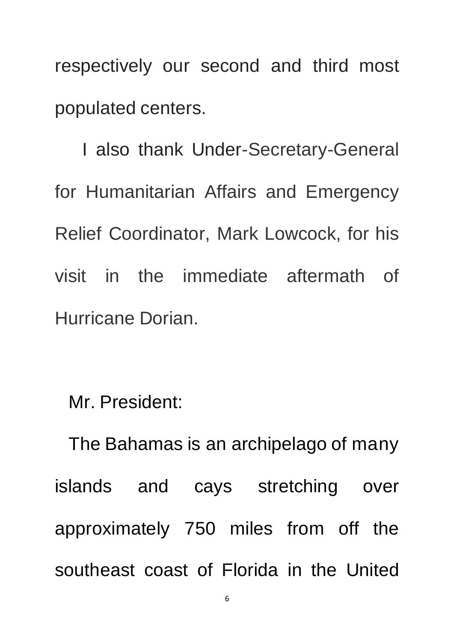respectively our second and third most populated centers.

I also thank Under-Secretary-General for Humanitarian Affairs and Emergency Relief Coordinator, Mark Lowcock, for his visit in the immediate aftermath of Hurricane Dorian.

Mr. President:

The Bahamas is an archipelago of many islands and cays stretching over approximately 750 miles from off the southeast coast of Florida in the United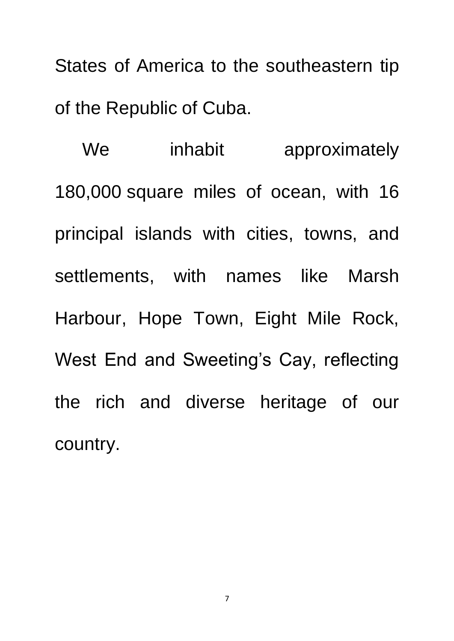States of America to the southeastern tip of the Republic of Cuba.

We inhabit approximately 180,000 square miles of ocean, with 16 principal islands with cities, towns, and settlements, with names like Marsh Harbour, Hope Town, Eight Mile Rock, West End and Sweeting's Cay, reflecting the rich and diverse heritage of our country.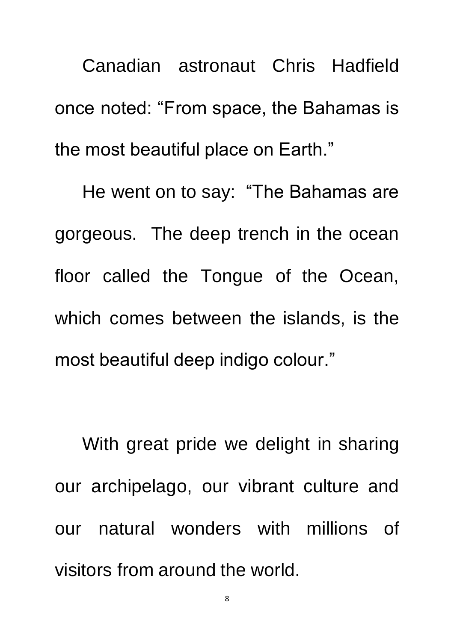Canadian astronaut Chris Hadfield once noted: "From space, the Bahamas is the most beautiful place on Earth."

He went on to say: "The Bahamas are gorgeous. The deep trench in the ocean floor called the Tongue of the Ocean, which comes between the islands, is the most beautiful deep indigo colour."

With great pride we delight in sharing our archipelago, our vibrant culture and our natural wonders with millions of visitors from around the world.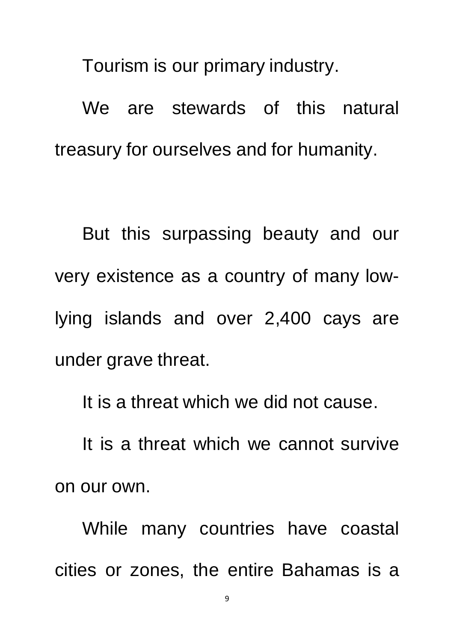Tourism is our primary industry.

We are stewards of this natural treasury for ourselves and for humanity.

But this surpassing beauty and our very existence as a country of many lowlying islands and over 2,400 cays are under grave threat.

It is a threat which we did not cause.

It is a threat which we cannot survive on our own.

While many countries have coastal cities or zones, the entire Bahamas is a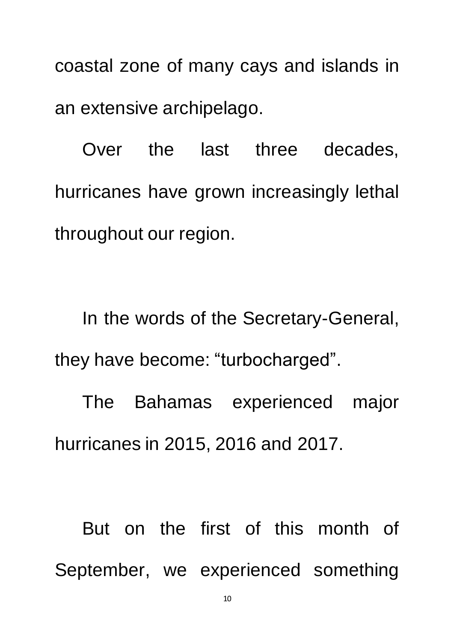coastal zone of many cays and islands in an extensive archipelago.

Over the last three decades, hurricanes have grown increasingly lethal throughout our region.

In the words of the Secretary-General, they have become: "turbocharged".

The Bahamas experienced major hurricanes in 2015, 2016 and 2017.

But on the first of this month of September, we experienced something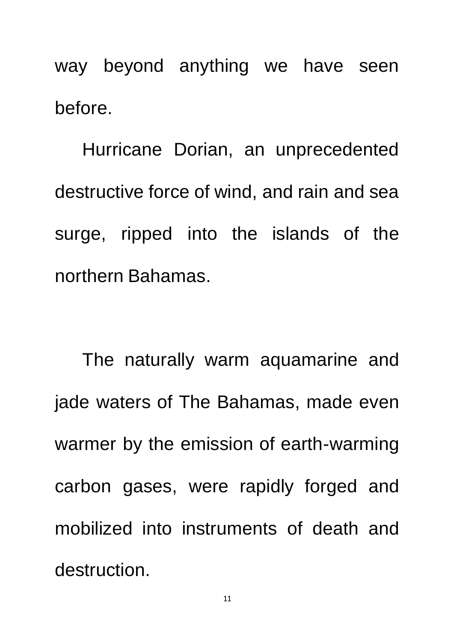way beyond anything we have seen before.

Hurricane Dorian, an unprecedented destructive force of wind, and rain and sea surge, ripped into the islands of the northern Bahamas.

The naturally warm aquamarine and jade waters of The Bahamas, made even warmer by the emission of earth-warming carbon gases, were rapidly forged and mobilized into instruments of death and destruction.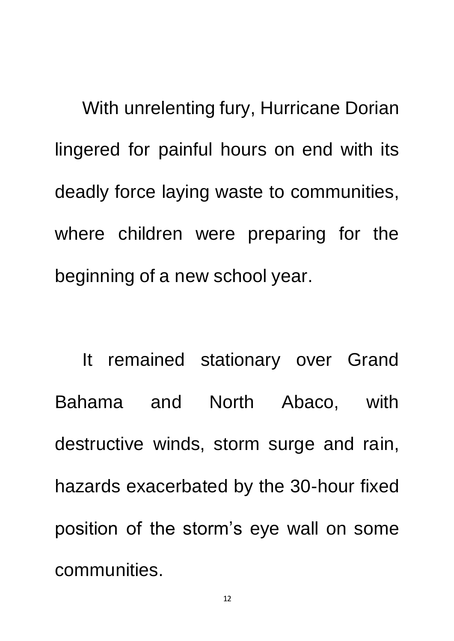With unrelenting fury, Hurricane Dorian lingered for painful hours on end with its deadly force laying waste to communities, where children were preparing for the beginning of a new school year.

It remained stationary over Grand Bahama and North Abaco, with destructive winds, storm surge and rain, hazards exacerbated by the 30-hour fixed position of the storm's eye wall on some communities.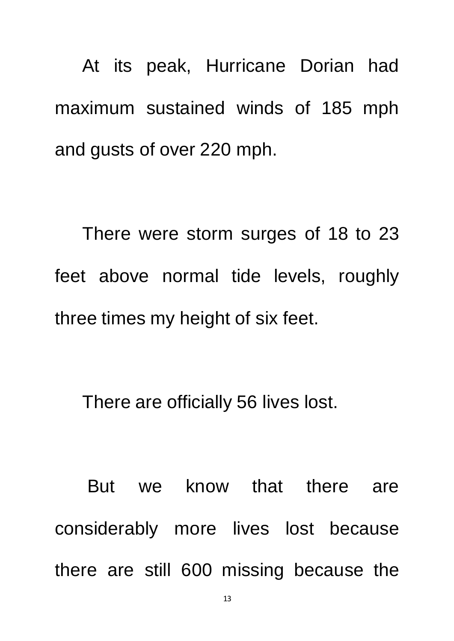At its peak, Hurricane Dorian had maximum sustained winds of 185 mph and gusts of over 220 mph.

There were storm surges of 18 to 23 feet above normal tide levels, roughly three times my height of six feet.

There are officially 56 lives lost.

But we know that there are considerably more lives lost because there are still 600 missing because the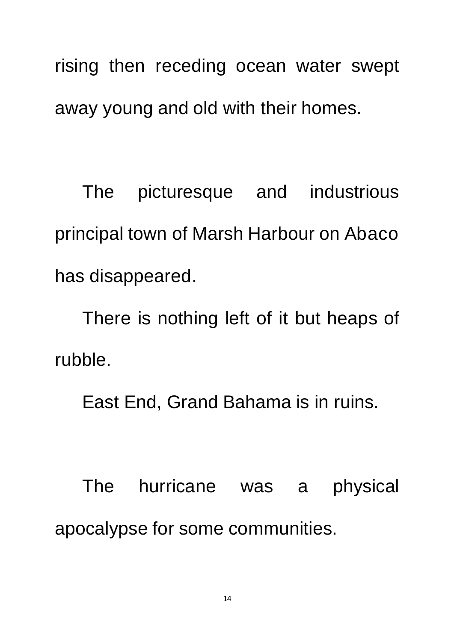rising then receding ocean water swept away young and old with their homes.

The picturesque and industrious principal town of Marsh Harbour on Abaco has disappeared.

There is nothing left of it but heaps of rubble.

East End, Grand Bahama is in ruins.

The hurricane was a physical apocalypse for some communities.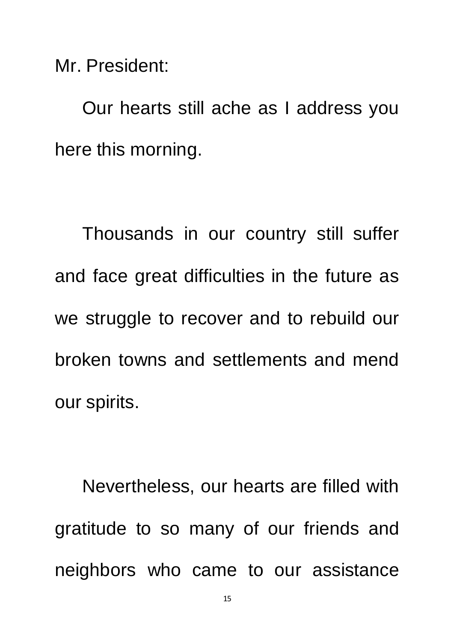Mr. President:

Our hearts still ache as I address you here this morning.

Thousands in our country still suffer and face great difficulties in the future as we struggle to recover and to rebuild our broken towns and settlements and mend our spirits.

Nevertheless, our hearts are filled with gratitude to so many of our friends and neighbors who came to our assistance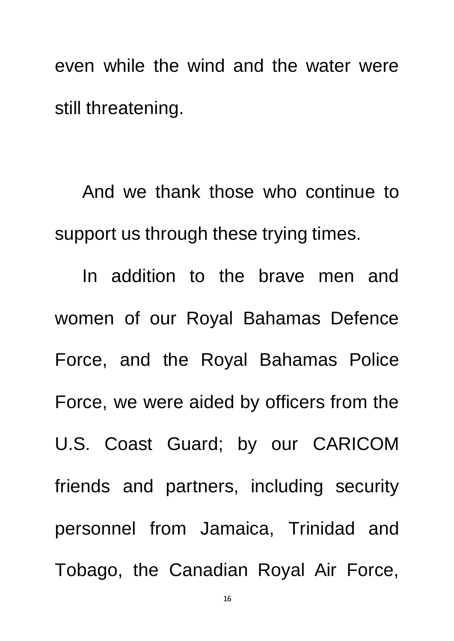even while the wind and the water were still threatening.

And we thank those who continue to support us through these trying times.

In addition to the brave men and women of our Royal Bahamas Defence Force, and the Royal Bahamas Police Force, we were aided by officers from the U.S. Coast Guard; by our CARICOM friends and partners, including security personnel from Jamaica, Trinidad and Tobago, the Canadian Royal Air Force,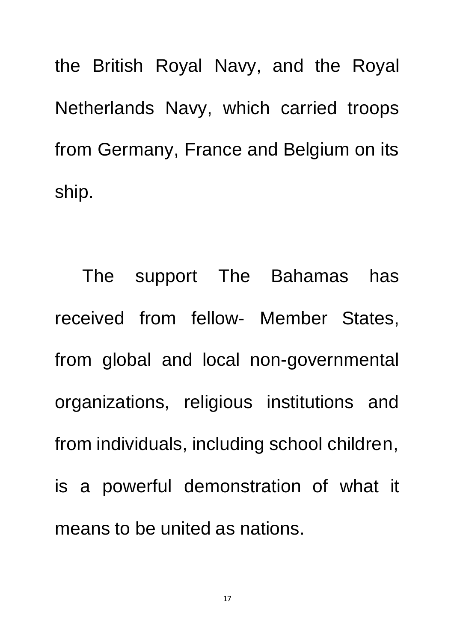the British Royal Navy, and the Royal Netherlands Navy, which carried troops from Germany, France and Belgium on its ship.

The support The Bahamas has received from fellow- Member States, from global and local non-governmental organizations, religious institutions and from individuals, including school children, is a powerful demonstration of what it means to be united as nations.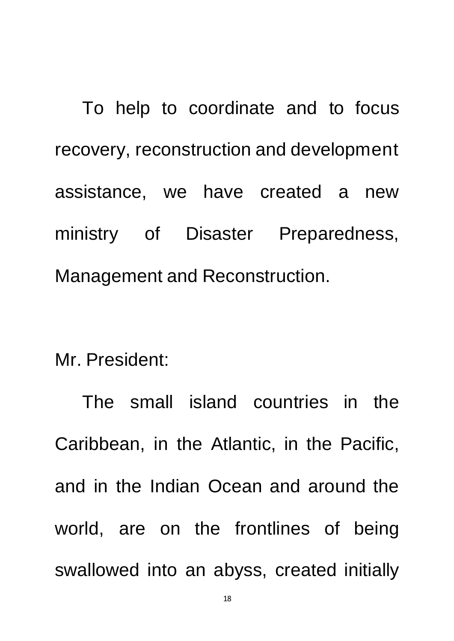To help to coordinate and to focus recovery, reconstruction and development assistance, we have created a new ministry of Disaster Preparedness, Management and Reconstruction.

Mr. President:

The small island countries in the Caribbean, in the Atlantic, in the Pacific, and in the Indian Ocean and around the world, are on the frontlines of being swallowed into an abyss, created initially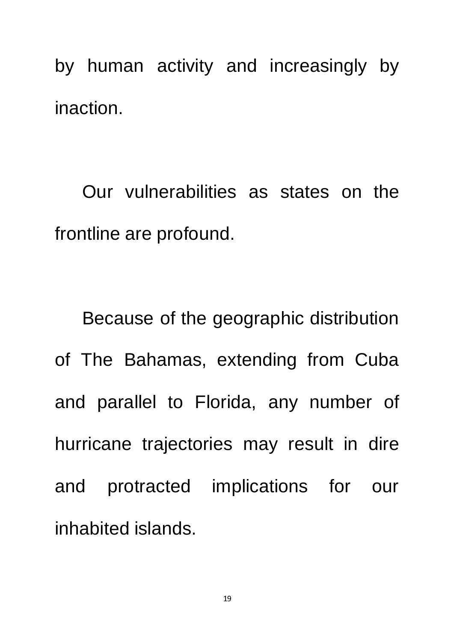by human activity and increasingly by inaction.

Our vulnerabilities as states on the frontline are profound.

Because of the geographic distribution of The Bahamas, extending from Cuba and parallel to Florida, any number of hurricane trajectories may result in dire and protracted implications for our inhabited islands.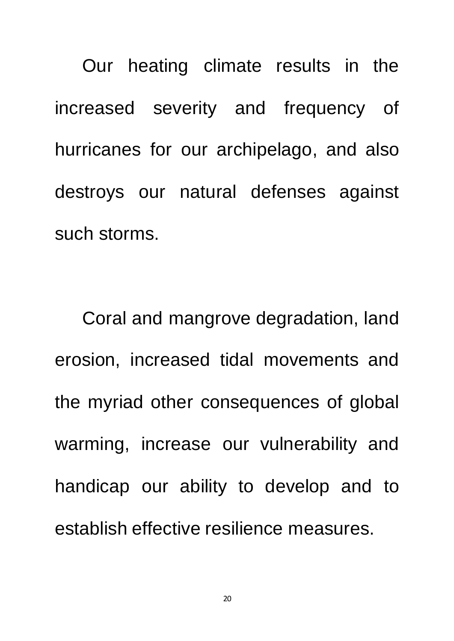Our heating climate results in the increased severity and frequency of hurricanes for our archipelago, and also destroys our natural defenses against such storms.

Coral and mangrove degradation, land erosion, increased tidal movements and the myriad other consequences of global warming, increase our vulnerability and handicap our ability to develop and to establish effective resilience measures.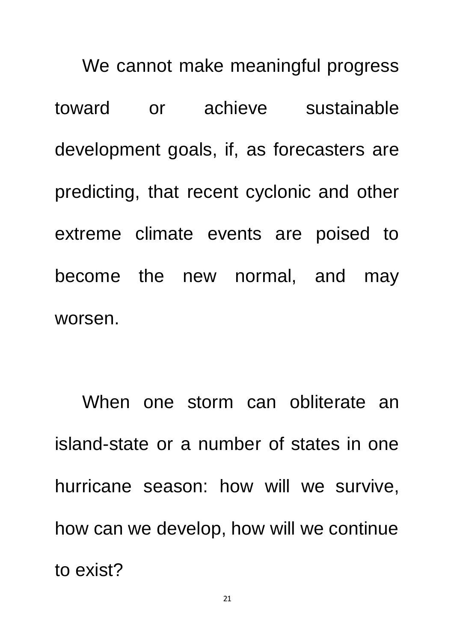We cannot make meaningful progress toward or achieve sustainable development goals, if, as forecasters are predicting, that recent cyclonic and other extreme climate events are poised to become the new normal, and may worsen.

When one storm can obliterate an island-state or a number of states in one hurricane season: how will we survive, how can we develop, how will we continue to exist?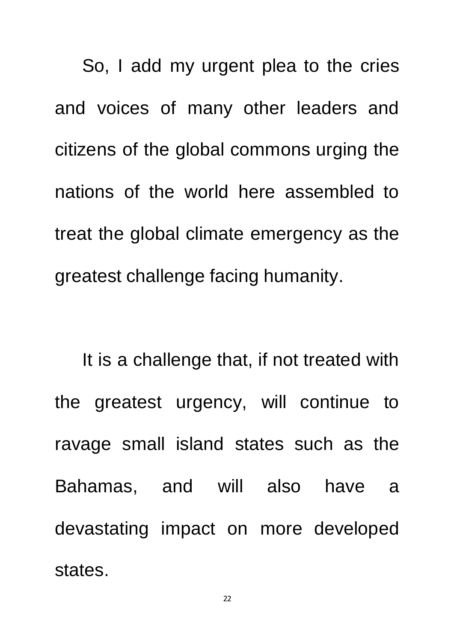So, I add my urgent plea to the cries and voices of many other leaders and citizens of the global commons urging the nations of the world here assembled to treat the global climate emergency as the greatest challenge facing humanity.

It is a challenge that, if not treated with the greatest urgency, will continue to ravage small island states such as the Bahamas, and will also have a devastating impact on more developed states.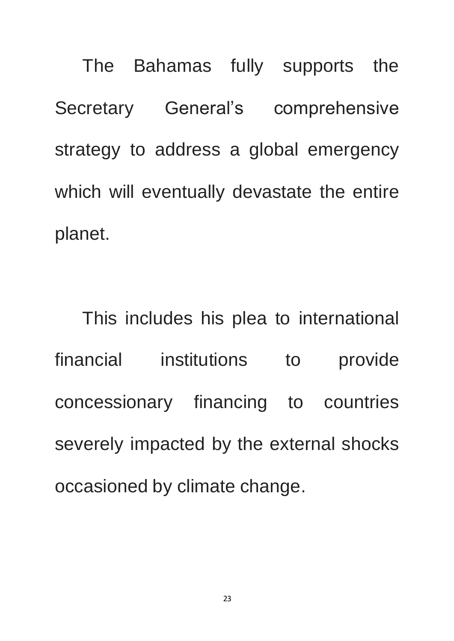The Bahamas fully supports the Secretary General's comprehensive strategy to address a global emergency which will eventually devastate the entire planet.

This includes his plea to international financial institutions to provide concessionary financing to countries severely impacted by the external shocks occasioned by climate change.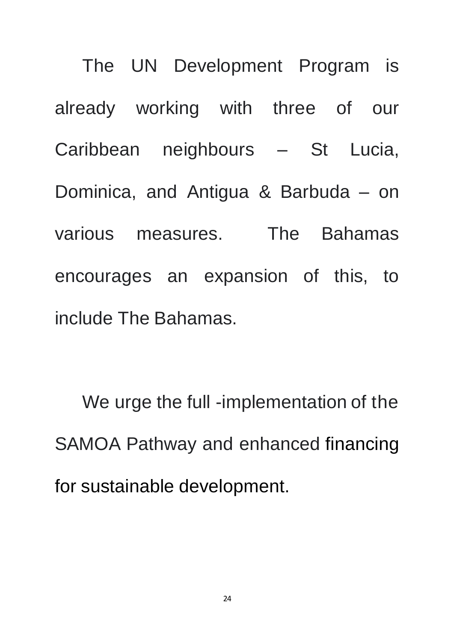The UN Development Program is already working with three of our Caribbean neighbours – St Lucia, Dominica, and Antigua & Barbuda – on various measures. The Bahamas encourages an expansion of this, to include The Bahamas.

We urge the full -implementation of the SAMOA Pathway and enhanced financing for sustainable development.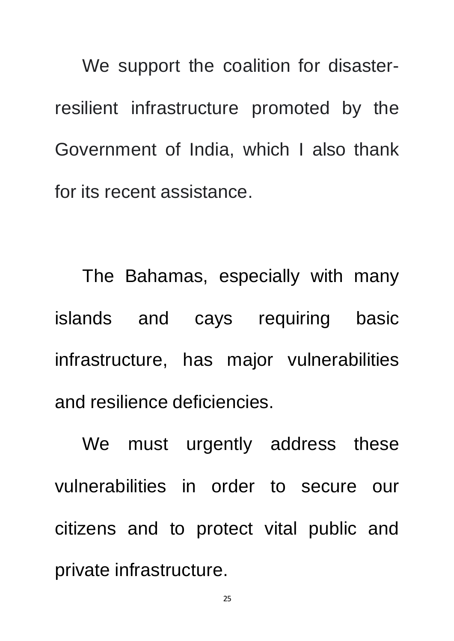We support the coalition for disasterresilient infrastructure promoted by the Government of India, which I also thank for its recent assistance.

The Bahamas, especially with many islands and cays requiring basic infrastructure, has major vulnerabilities and resilience deficiencies.

We must urgently address these vulnerabilities in order to secure our citizens and to protect vital public and private infrastructure.

25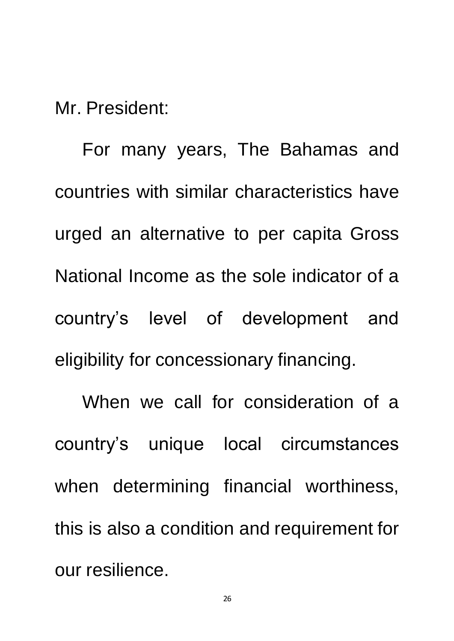Mr. President:

For many years, The Bahamas and countries with similar characteristics have urged an alternative to per capita Gross National Income as the sole indicator of a country's level of development and eligibility for concessionary financing.

When we call for consideration of a country's unique local circumstances when determining financial worthiness, this is also a condition and requirement for our resilience.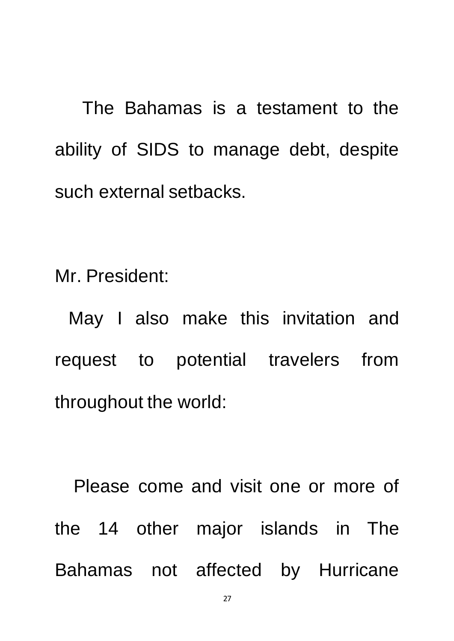The Bahamas is a testament to the ability of SIDS to manage debt, despite such external setbacks.

Mr. President:

May I also make this invitation and request to potential travelers from throughout the world:

Please come and visit one or more of the 14 other major islands in The Bahamas not affected by Hurricane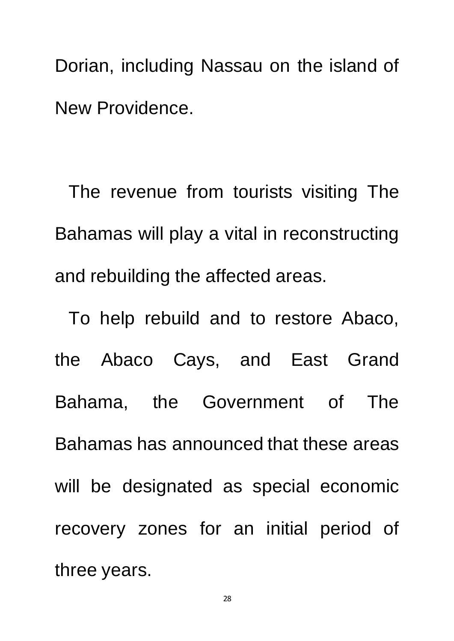Dorian, including Nassau on the island of New Providence.

The revenue from tourists visiting The Bahamas will play a vital in reconstructing and rebuilding the affected areas.

To help rebuild and to restore Abaco, the Abaco Cays, and East Grand Bahama, the Government of The Bahamas has announced that these areas will be designated as special economic recovery zones for an initial period of three years.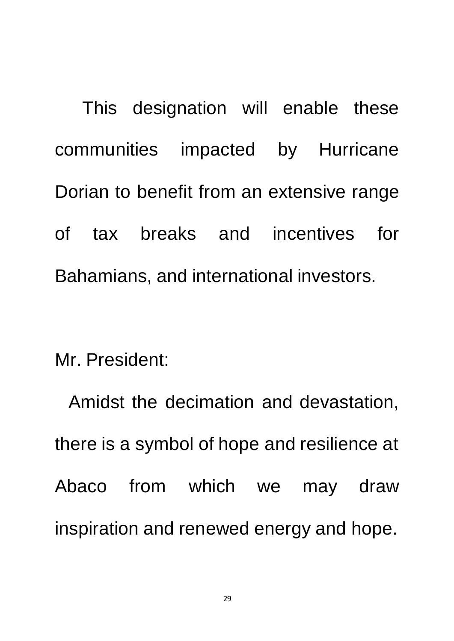This designation will enable these communities impacted by Hurricane Dorian to benefit from an extensive range of tax breaks and incentives for Bahamians, and international investors.

Mr. President:

Amidst the decimation and devastation, there is a symbol of hope and resilience at Abaco from which we may draw inspiration and renewed energy and hope.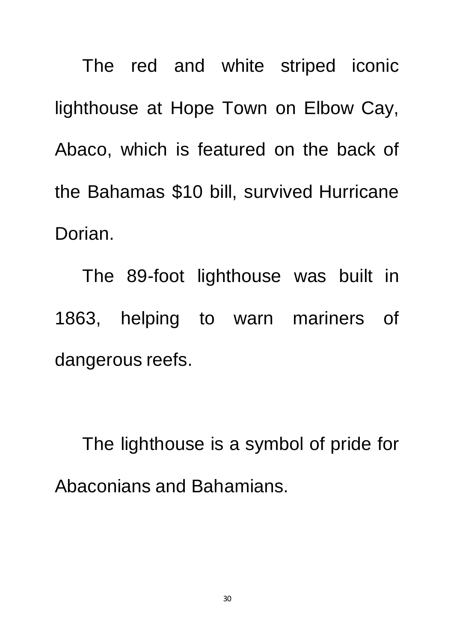The red and white striped iconic lighthouse at Hope Town on Elbow Cay, Abaco, which is featured on the back of the Bahamas \$10 bill, survived Hurricane Dorian.

The 89-foot lighthouse was built in 1863, helping to warn mariners of dangerous reefs.

The lighthouse is a symbol of pride for Abaconians and Bahamians.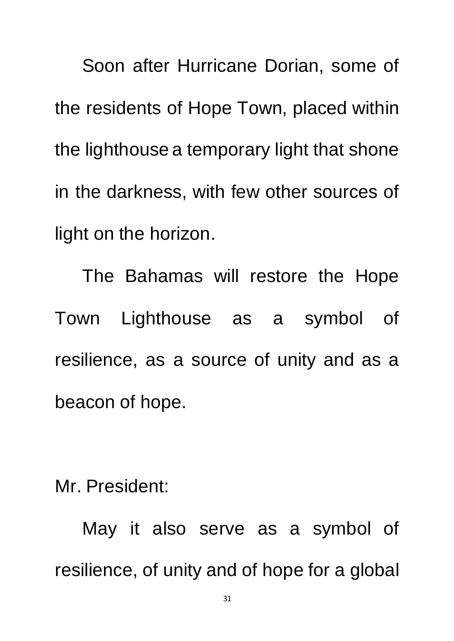Soon after Hurricane Dorian, some of the residents of Hope Town, placed within the lighthouse a temporary light that shone in the darkness, with few other sources of light on the horizon.

The Bahamas will restore the Hope Town Lighthouse as a symbol of resilience, as a source of unity and as a beacon of hope.

Mr. President:

May it also serve as a symbol of resilience, of unity and of hope for a global